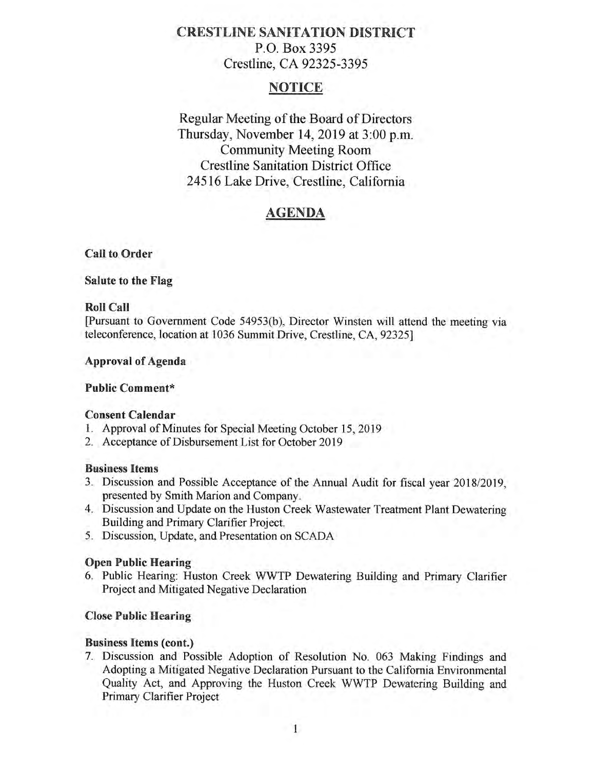# **CRESTLINE SANITATION DISTRICT**  P.O. Box 3395 Crestline, CA 92325-3395

# **NOTICE**

Regular Meeting of the Board of Directors Thursday, November 14, 2019 at 3:00 p.m. Community Meeting Room Crestline Sanitation District Office 24516 Lake Drive, Crestline, California

# **AGENDA**

### **Call to, Order**

### **Salute to the Flag**

### **Roll Call**

[Pursuant to Government Code 54953(b), Director Winsten will attend the meeting via teleconference, location at 1036 Summit Drive, Crestline, CA, 92325]

### **Approval of Agenda**

# **Public Comment\***

# **Consent Calendar**

- 1. Approval of Minutes for Special Meeting October 15, 2019
- 2. Acceptance of Disbursement List for October 2019

#### **Business Items**

- 3. Discussion and Possible Acceptance of the Annual Audit for fiscal year 2018/2019, presented by Smith Marion and Company.
- 4. Discussion and Update on the Huston Creek Wastewater Treatment Plant Dewatering Building and Primary Clarifier Project.
- 5. Discussion, Update, and Presentation on SCADA

# **Open Public Hearing**

6. Public Hearing: Huston Creek WWTP Dewatering Building and Primary Clarifier Project and Mitigated Negative Declaration

# **Close Public Hearing**

#### **Business Items (cont.)**

7. Discussion and Possible Adoption of Resolution No. 063 Making Findings and Adopting a Mitigated Negative Declaration Pursuant to the California Environmental Quality Act, and Approving the Huston Creek WWTP Dewatering Building and Primary Clarifier Project